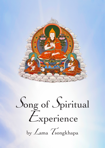

# Song of Spiritual

by Lama Tsongkhapa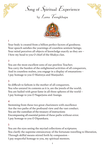

*S*ong of *S*piritual *E*xperience







Your body is created from a billion perfect factors of goodness; Your speech satisfies the yearnings of countless sentient beings; Your mind perceives all objects of knowledge exactly as they are – I bow my head to you O chief of the Shakya clan.

#### $\overline{2}$

You are the most excellent sons of our peerless Teacher; You carry the burden of the enlightened activities of all conquerors, And in countless realms, you engage in a display of emanations – I pay homage to you O Maitreya and Manjushri.

### 3

So difficult to fathom is the mother of all conquerors. You who unravel its contents as it is, are the jewels of the world; You are hailed with great fame in all three spheres of the world – I pay homage to you O Nagarjuna and Asanga.

#### $\boldsymbol{\Lambda}$

Stemming from these two great charioteers with excellence Are the two paths of the profound view and the vast conduct. You are the custodian of the treasury of instructions Encompassing all essential points of these paths without error. I pay homage to you O Dipamkara.

#### 5

You are the eyes seeing the myriad collections of scriptures; You clarify the supreme entranceway of the fortunate travelling to liberation, Through skilful means stirred forth by compassion – I pay respectful homage to you, my spiritual mentors.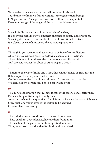You are the crown jewels amongst all the wise of this world. Your banners of renown flutter vibrantly amongst sentient beings. O Nagarjuna and Asanga, from you both follows this sequential Excellent lineage of the stages of the path to enlightenment.

# 7

Since it fulfils the entirety of sentient beings' wishes, It is the wish-fulfilling jewel amongst all precious spiritual instructions. Since it gathers into it thousands of rivers of exceptional treatises, It is also an ocean of glorious and eloquent explanations.

## 8

Through it, you recognise all teachings to be free of contradictions; All scriptures, without exception, dawn as personal instructions. The enlightened intention of the conquerors is readily found, And protects against the abyss of grave negative deeds.

#### 9

Therefore, the wise of India and Tibet, those many beings of great fortune, Relied upon these supreme instructions

On the stages of the path of practitioners of three varying capacities. What intelligent person could not be captivated by it?

#### 10

This concise instruction that gathers together the essence of all scriptures, Even teaching or listening to it only once,

Amasses the beneficial qualities of explaining or hearing the sacred Dharma. Since such enormous strength is certain to be accrued,

Contemplate its meaning.

#### 11

Then, all the proper conditions of this and future lives, These excellent dependencies, have as their foundation The teacher of the path, the sublime spiritual mentor. Thus, rely correctly and with effort in thought and deed.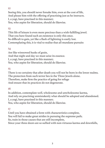Seeing this, you should never forsake him, even at the cost of life, And please him with the offering of practising just as he instructs. I, a yogi, have practised in this manner; You, who aspire for liberation, should do likewise.

# 13

This life of leisure is even more precious than a wish-fulfilling jewel. That you have found such an existence is only this once. So difficult to gain, yet like a flash of lightning is easily lost. Contemplating this, it is vital to realise that all mundane pursuits

### 14

Are like winnowed husks of grain, And that night and day we must seize its essence. I, a yogi, have practised in this manner; You, who aspire for liberation, should do likewise.

### 15

There is no certainty that after death you will not be born in the lower realms. The protection from such terror lies in the Three Jewels alone.

Therefore, make firm the practice of going for refuge

And ensure that its practices do not degenerate.

### 16

In addition, contemplate well, wholesome and unwholesome karma, And rely on practising unmistakenly what should be adopted and abandoned. I, a yogi, have practised in this manner; You, who aspire for liberation, should do likewise.

## 17

Until you have obtained a form with characteristics complete, You will fail to make great strides in pursuing the supreme path; So, train in those causes that are still incomplete, Since your three doors are so sullied with non-virtuous karma and downfalls,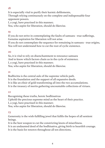It is especially vital to purify their karmic defilements,

Through relying continuously on the complete and indispensable four opponent powers.

I, a yogi, have practised in this manner;

You, who aspire for liberation, should do likewise.

# 19

If you do not strive in contemplating the faults of samsara - true sufferings, Genuine aspiration for liberation will not arise.

If you do not contemplate the sequence for remaining in samsara - true origins, You will not understand how to cut the root of cyclic existence.

## 20

So, it is vital to rely on disenchantment to renounce samsara And to know which factors chain us in the cycle of existence. I, a yogi, have practised in this manner; You, who aspire for liberation, should do likewise.

## 21

Bodhicitta is the central axle of the supreme vehicle path. It is the foundation and the support of all expansive deeds. It is like an elixir of gold transforming all into the two accumulations. It is the treasury of merits gathering uncountable collections of virtues.

### 22

Recognising these truths, heroic bodhisattvas Uphold the precious supreme mind as the heart of their practice. I, a yogi, have practised in this manner; You, who aspire for liberation, should do likewise.

## 23

Generosity is the wish-fulfilling jewel that fulfils the hopes of all sentient beings.

It is the best weapon to cut the constricting knots of miserliness.

It is an undaunted deed of the bodhisattva, giving birth to heartfelt courage. It is the basis for renown throughout all ten directions.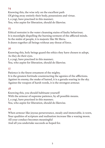Knowing this, the wise rely on the excellent path Of giving away entirely their body, possessions and virtue. I, a yogi, have practised in this manner; You, who aspire for liberation, should do likewise.

## 25

Ethical restraint is the water cleansing stains of faulty behaviour; It is moonlight dispelling the burning torment of the afflicted minds. In the midst of people, it is majestic like Mt Meru. It draws together all beings without any threat of force.

## 26

Knowing this, holy beings guard the ethics they have chosen to adopt, As they do their eyes.

I, a yogi, have practised in this manner;

You, who aspire for liberation, should do likewise.

## 27

Patience is the finest ornament of the mighty.

It is the greatest fortitude counteracting the agonies of the afflictions. Against its enemy, the snake of hatred, it is a garuda soaring in the sky. Against the weapon of harsh words, it is the strongest armour.

## 28

Knowing this, you should habituate yourself With the armour of supreme patience, by all possible means. I, a yogi, have practised in this manner; You, who aspire for liberation, should do likewise.

### 29

When armour-like joyous perseverance, steady and immovable, is worn, Your qualities of scripture and realisation increase like a waxing moon. All your conduct becomes meaningful

And all you undertake succeeds as hoped for.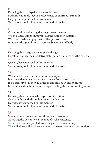Knowing this, to dispel all forms of laziness, Bodhisattvas apply joyous perseverance of enormous strength. I, a yogi, have practised in this manner; You, who aspire for liberation, should do likewise.

## 31

Concentration is the king that reigns over the mind. When placed, it is as immovable as the King of Mountains. When set forth, it engages with all objects of virtue. It induces the great bliss of a serviceable mind and body.

## 32

Knowing this, the great accomplished yogis Constantly apply the meditative stabilisation that destroys the enemy, distraction.

I, a yogi, have practised in this manner;

You, who aspire for liberation, should do likewise.

## 33

Wisdom is the eye that sees profound emptiness. It is the path eradicating cyclic existence from its very root. It is a treasury of higher qualities that is praised in all scriptures. It is renowned as the supreme lamp dispelling the darkness of ignorance.

### 34

Knowing this, the wise who aspire for liberation Generate this path through immense endeavour. I, a yogi, have practised in this manner; You, who aspire for liberation, should do likewise.

## 35

Single-pointed concentration alone is not recognised As having the power to cut the root of cyclic existence. Yet, with wisdom separated from the path of calm abiding, The afflictions will not be overcome, no matter how much you analyse.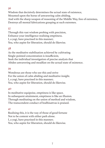Wisdom that decisively determines the actual state of existence, Mounted upon the horse of unwavering calm abiding, And with the sharp weapon of reasoning of the Middle Way, free of extremes, Destroys all mental fabrications grasping at such extremes.

## 37

Through this vast wisdom probing with precision, Enhance your intelligence realising emptiness. I, a yogi, have practised in this manner; You, who aspire for liberation, should do likewise.

## 38

As the meditative stabilisation achieved by cultivating Single-pointed concentration is insufficient, Seek the individual investigation of precise analysis that Abides unwavering and steadfast on the actual state of existence.

### 39

Wondrous are those who see this and strive For the union of calm abiding and meditative insight. I, a yogi, have practised in this manner; You, who aspire for liberation, should do likewise.

### 40

In meditative equipoise, emptiness is like space. In subsequent attainment, emptiness is like an illusion. Through meditating on the union of method and wisdom, The transcendent conduct of bodhisattvas is praised.

### 41

Realising this, it is the way of those of good fortune Not to be content with either path alone. I, a yogi, have practised in this manner; You, who aspire for liberation, should do likewise.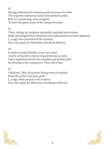Having cultivated the common path necessary for both The supreme mahayana causal and resultant paths, Rely on a protecting, wise navigator To enter the great ocean of the classes of tantra.

## 43

Then, relying on complete and perfect spiritual instructions, Make meaningful these freedoms and endowments you have obtained. I, a yogi, have practised in this manner; You, who aspire for liberation, should do likewise.

## 44

In order to make familiar to my own mind And be of benefit to others of good fortune as well, I have explained clearly the complete and perfect path So pleasing to the conquerors. Thus, this virtue

### 45

I dedicate, "May all sentient beings never be parted From the perfect and pure path."

I, a yogi, make prayers such as these;

You, who aspire for liberation, should pray likewise.



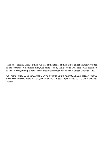This brief presentation on the practices of the stages of the path to enlightenment, written in the format of a memorandum, was composed by the glorious, well-read, fully ordained monk Lobsang Drakpa, at the great mountain retreat of Gänden Nampar Gyälwäi Ling.

*Colophon: Translated by Ven. Lobsang Dorje at Atisha Centre, Australia, August 2020, in reliance upon previous translations by Ven. Joan Nicell and Thupten Jinpa, for the oral teachings of Geshe Rabten.*